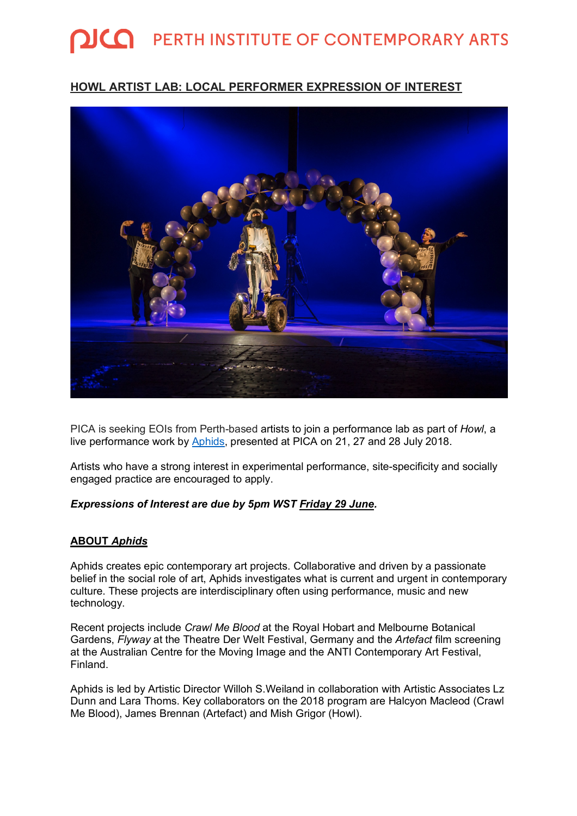# **QICO** PERTH INSTITUTE OF CONTEMPORARY ARTS

## **HOWL ARTIST LAB: LOCAL PERFORMER EXPRESSION OF INTEREST**



PICA is seeking EOIs from Perth-based artists to join a performance lab as part of *Howl*, a live performance work by Aphids, presented at PICA on 21, 27 and 28 July 2018.

Artists who have a strong interest in experimental performance, site-specificity and socially engaged practice are encouraged to apply.

#### *Expressions of Interest are due by 5pm WST Friday 29 June.*

#### **ABOUT** *Aphids*

Aphids creates epic contemporary art projects. Collaborative and driven by a passionate belief in the social role of art, Aphids investigates what is current and urgent in contemporary culture. These projects are interdisciplinary often using performance, music and new technology.

Recent projects include *Crawl Me Blood* at the Royal Hobart and Melbourne Botanical Gardens, *Flyway* at the Theatre Der Welt Festival, Germany and the *Artefact* film screening at the Australian Centre for the Moving Image and the ANTI Contemporary Art Festival, Finland.

Aphids is led by Artistic Director Willoh S.Weiland in collaboration with Artistic Associates Lz Dunn and Lara Thoms. Key collaborators on the 2018 program are Halcyon Macleod (Crawl Me Blood), James Brennan (Artefact) and Mish Grigor (Howl).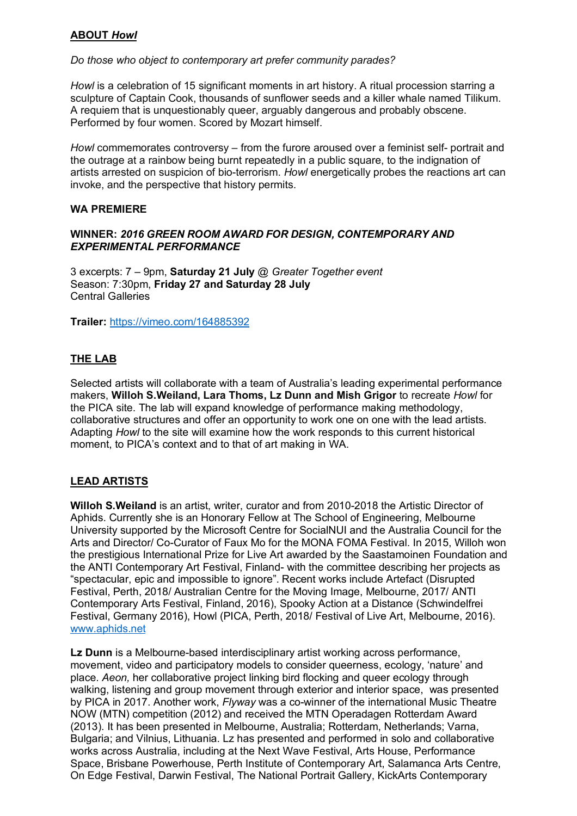## **ABOUT** *Howl*

#### *Do those who object to contemporary art prefer community parades?*

*Howl* is a celebration of 15 significant moments in art history. A ritual procession starring a sculpture of Captain Cook, thousands of sunflower seeds and a killer whale named Tilikum. A requiem that is unquestionably queer, arguably dangerous and probably obscene. Performed by four women. Scored by Mozart himself.

*Howl* commemorates controversy – from the furore aroused over a feminist self- portrait and the outrage at a rainbow being burnt repeatedly in a public square, to the indignation of artists arrested on suspicion of bio-terrorism. *Howl* energetically probes the reactions art can invoke, and the perspective that history permits.

#### **WA PREMIERE**

#### **WINNER:** *2016 GREEN ROOM AWARD FOR DESIGN, CONTEMPORARY AND EXPERIMENTAL PERFORMANCE*

3 excerpts: 7 – 9pm, **Saturday 21 July** @ *Greater Together event* Season: 7:30pm, **Friday 27 and Saturday 28 July** Central Galleries

**Trailer:** https://vimeo.com/164885392

## **THE LAB**

Selected artists will collaborate with a team of Australia's leading experimental performance makers, **Willoh S.Weiland, Lara Thoms, Lz Dunn and Mish Grigor** to recreate *Howl* for the PICA site. The lab will expand knowledge of performance making methodology, collaborative structures and offer an opportunity to work one on one with the lead artists. Adapting *Howl* to the site will examine how the work responds to this current historical moment, to PICA's context and to that of art making in WA.

## **LEAD ARTISTS**

**Willoh S.Weiland** is an artist, writer, curator and from 2010-2018 the Artistic Director of Aphids. Currently she is an Honorary Fellow at The School of Engineering, Melbourne University supported by the Microsoft Centre for SocialNUI and the Australia Council for the Arts and Director/ Co-Curator of Faux Mo for the MONA FOMA Festival. In 2015, Willoh won the prestigious International Prize for Live Art awarded by the Saastamoinen Foundation and the ANTI Contemporary Art Festival, Finland- with the committee describing her projects as "spectacular, epic and impossible to ignore". Recent works include Artefact (Disrupted Festival, Perth, 2018/ Australian Centre for the Moving Image, Melbourne, 2017/ ANTI Contemporary Arts Festival, Finland, 2016), Spooky Action at a Distance (Schwindelfrei Festival, Germany 2016), Howl (PICA, Perth, 2018/ Festival of Live Art, Melbourne, 2016). www.aphids.net

**Lz Dunn** is a Melbourne-based interdisciplinary artist working across performance, movement, video and participatory models to consider queerness, ecology, 'nature' and place. *Aeon,* her collaborative project linking bird flocking and queer ecology through walking, listening and group movement through exterior and interior space, was presented by PICA in 2017. Another work, *Flyway* was a co-winner of the international Music Theatre NOW (MTN) competition (2012) and received the MTN Operadagen Rotterdam Award (2013). It has been presented in Melbourne, Australia; Rotterdam, Netherlands; Varna, Bulgaria; and Vilnius, Lithuania. Lz has presented and performed in solo and collaborative works across Australia, including at the Next Wave Festival, Arts House, Performance Space, Brisbane Powerhouse, Perth Institute of Contemporary Art, Salamanca Arts Centre, On Edge Festival, Darwin Festival, The National Portrait Gallery, KickArts Contemporary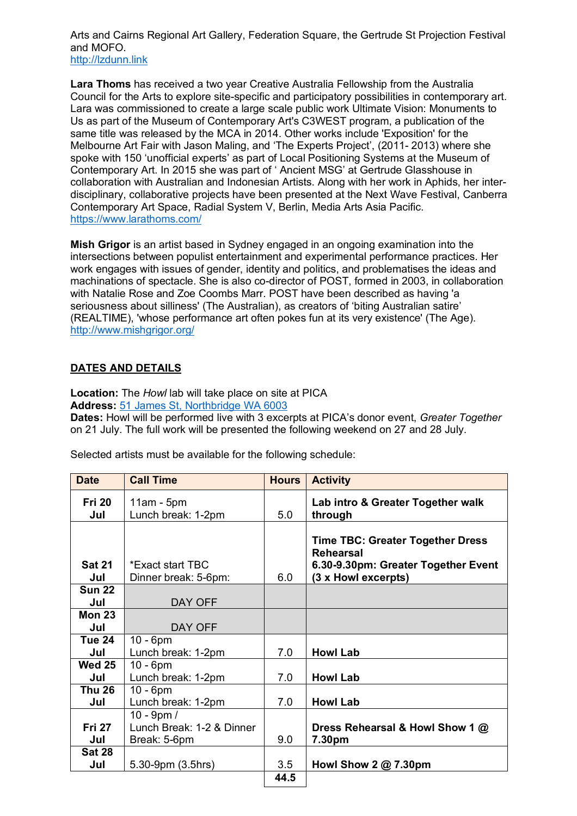Arts and Cairns Regional Art Gallery, Federation Square, the Gertrude St Projection Festival and MOFO. http://lzdunn.link

**Lara Thoms** has received a two year Creative Australia Fellowship from the Australia Council for the Arts to explore site-specific and participatory possibilities in contemporary art. Lara was commissioned to create a large scale public work Ultimate Vision: Monuments to Us as part of the Museum of Contemporary Art's C3WEST program, a publication of the same title was released by the MCA in 2014. Other works include 'Exposition' for the Melbourne Art Fair with Jason Maling, and 'The Experts Project', (2011- 2013) where she spoke with 150 'unofficial experts' as part of Local Positioning Systems at the Museum of Contemporary Art. In 2015 she was part of ' Ancient MSG' at Gertrude Glasshouse in collaboration with Australian and Indonesian Artists. Along with her work in Aphids, her interdisciplinary, collaborative projects have been presented at the Next Wave Festival, Canberra Contemporary Art Space, Radial System V, Berlin, Media Arts Asia Pacific. https://www.larathoms.com/

**Mish Grigor** is an artist based in Sydney engaged in an ongoing examination into the intersections between populist entertainment and experimental performance practices. Her work engages with issues of gender, identity and politics, and problematises the ideas and machinations of spectacle. She is also co-director of POST, formed in 2003, in collaboration with Natalie Rose and Zoe Coombs Marr. POST have been described as having 'a seriousness about silliness' (The Australian), as creators of 'biting Australian satire' (REALTIME), 'whose performance art often pokes fun at its very existence' (The Age). http://www.mishgrigor.org/

#### **DATES AND DETAILS**

**Location:** The *Howl* lab will take place on site at PICA **Address:** 51 James St, Northbridge WA 6003

**Dates:** Howl will be performed live with 3 excerpts at PICA's donor event, *Greater Together* on 21 July. The full work will be presented the following weekend on 27 and 28 July.

| <b>Date</b>          | <b>Call Time</b>                         | <b>Hours</b> | <b>Activity</b>                                                                                                           |
|----------------------|------------------------------------------|--------------|---------------------------------------------------------------------------------------------------------------------------|
| <b>Fri 20</b>        | $11am - 5pm$                             |              | Lab intro & Greater Together walk                                                                                         |
| Jul                  | Lunch break: 1-2pm                       | 5.0          | through                                                                                                                   |
| <b>Sat 21</b><br>Jul | *Exact start TBC<br>Dinner break: 5-6pm: | 6.0          | <b>Time TBC: Greater Together Dress</b><br><b>Rehearsal</b><br>6.30-9.30pm: Greater Together Event<br>(3 x Howl excerpts) |
| <b>Sun 22</b>        |                                          |              |                                                                                                                           |
| Jul                  | DAY OFF                                  |              |                                                                                                                           |
| Mon 23               |                                          |              |                                                                                                                           |
| Jul                  | DAY OFF                                  |              |                                                                                                                           |
| <b>Tue 24</b>        | $10 - 6$ pm                              |              |                                                                                                                           |
| Jul                  | Lunch break: 1-2pm                       | 7.0          | <b>Howl Lab</b>                                                                                                           |
| <b>Wed 25</b>        | $10 - 6$ pm                              |              |                                                                                                                           |
| Jul                  | Lunch break: 1-2pm                       | 7.0          | <b>Howl Lab</b>                                                                                                           |
| <b>Thu 26</b>        | $10 - 6$ pm                              |              |                                                                                                                           |
| Jul                  | Lunch break: 1-2pm                       | 7.0          | <b>Howl Lab</b>                                                                                                           |
|                      | 10 - 9pm /                               |              |                                                                                                                           |
| <b>Fri 27</b>        | Lunch Break: 1-2 & Dinner                |              | Dress Rehearsal & Howl Show 1 @                                                                                           |
| Jul                  | Break: 5-6pm                             | 9.0          | 7.30pm                                                                                                                    |
| <b>Sat 28</b>        |                                          |              |                                                                                                                           |
| Jul                  | 5.30-9pm (3.5hrs)                        | 3.5          | Howl Show $2@7.30 \text{pm}$                                                                                              |
|                      |                                          | 44.5         |                                                                                                                           |

Selected artists must be available for the following schedule: